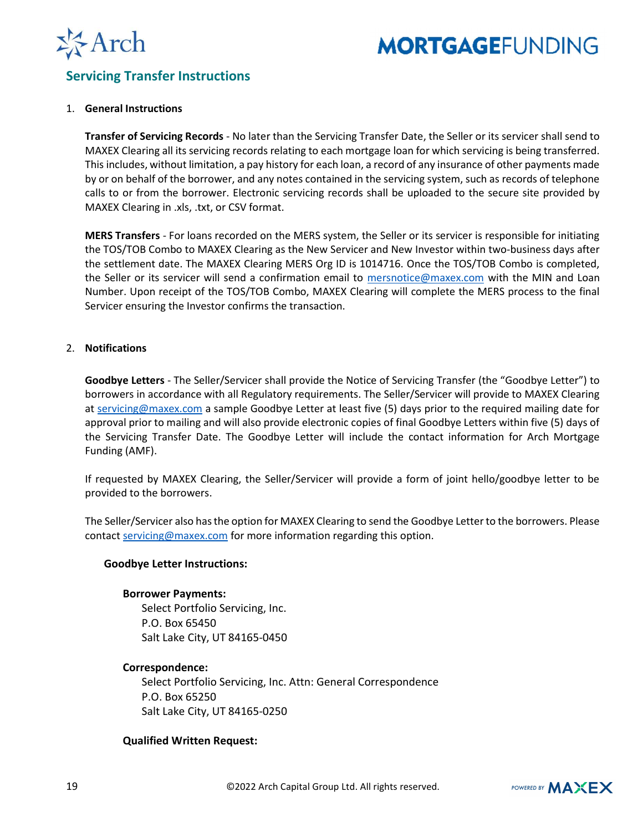

### Servicing Transfer Instructions

#### 1. General Instructions

Transfer of Servicing Records - No later than the Servicing Transfer Date, the Seller or its servicer shall send to MAXEX Clearing all its servicing records relating to each mortgage loan for which servicing is being transferred. This includes, without limitation, a pay history for each loan, a record of any insurance of other payments made by or on behalf of the borrower, and any notes contained in the servicing system, such as records of telephone calls to or from the borrower. Electronic servicing records shall be uploaded to the secure site provided by MAXEX Clearing in .xls, .txt, or CSV format.

MERS Transfers - For loans recorded on the MERS system, the Seller or its servicer is responsible for initiating the TOS/TOB Combo to MAXEX Clearing as the New Servicer and New Investor within two-business days after the settlement date. The MAXEX Clearing MERS Org ID is 1014716. Once the TOS/TOB Combo is completed, the Seller or its servicer will send a confirmation email to mersnotice@maxex.com with the MIN and Loan Number. Upon receipt of the TOS/TOB Combo, MAXEX Clearing will complete the MERS process to the final Servicer ensuring the Investor confirms the transaction.

#### 2. Notifications

Goodbye Letters - The Seller/Servicer shall provide the Notice of Servicing Transfer (the "Goodbye Letter") to borrowers in accordance with all Regulatory requirements. The Seller/Servicer will provide to MAXEX Clearing at servicing@maxex.com a sample Goodbye Letter at least five (5) days prior to the required mailing date for approval prior to mailing and will also provide electronic copies of final Goodbye Letters within five (5) days of the Servicing Transfer Date. The Goodbye Letter will include the contact information for Arch Mortgage Funding (AMF).

If requested by MAXEX Clearing, the Seller/Servicer will provide a form of joint hello/goodbye letter to be provided to the borrowers.

The Seller/Servicer also has the option for MAXEX Clearing to send the Goodbye Letter to the borrowers. Please contact servicing@maxex.com for more information regarding this option.

#### Goodbye Letter Instructions:

#### Borrower Payments:

Select Portfolio Servicing, Inc. P.O. Box 65450 Salt Lake City, UT 84165-0450

#### Correspondence:

Select Portfolio Servicing, Inc. Attn: General Correspondence P.O. Box 65250 Salt Lake City, UT 84165-0250

#### Qualified Written Request: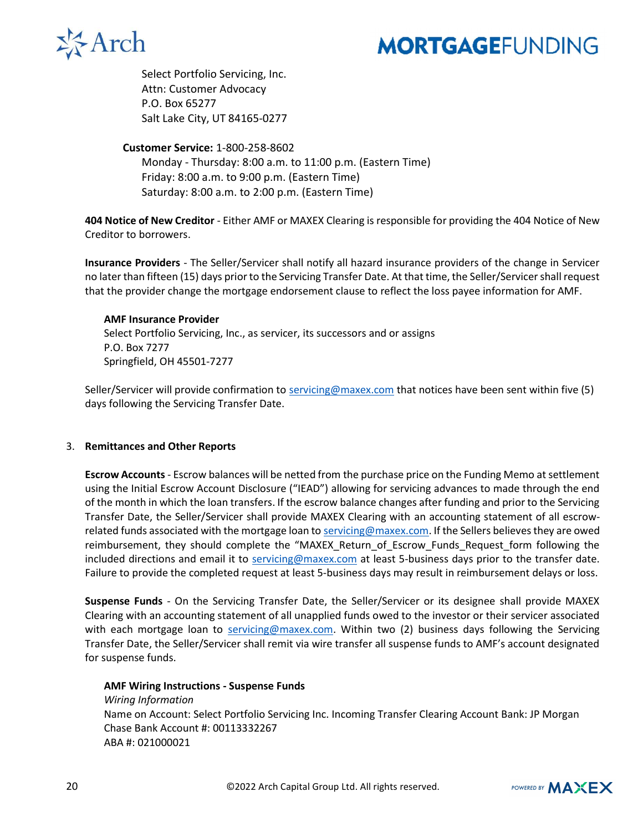

Select Portfolio Servicing, Inc. Attn: Customer Advocacy P.O. Box 65277 Salt Lake City, UT 84165-0277

#### Customer Service: 1-800-258-8602

Monday - Thursday: 8:00 a.m. to 11:00 p.m. (Eastern Time) Friday: 8:00 a.m. to 9:00 p.m. (Eastern Time) Saturday: 8:00 a.m. to 2:00 p.m. (Eastern Time)

404 Notice of New Creditor - Either AMF or MAXEX Clearing is responsible for providing the 404 Notice of New Creditor to borrowers.

Insurance Providers - The Seller/Servicer shall notify all hazard insurance providers of the change in Servicer no later than fifteen (15) days prior to the Servicing Transfer Date. At that time, the Seller/Servicer shall request that the provider change the mortgage endorsement clause to reflect the loss payee information for AMF.

#### AMF Insurance Provider

Select Portfolio Servicing, Inc., as servicer, its successors and or assigns P.O. Box 7277 Springfield, OH 45501-7277

Seller/Servicer will provide confirmation to servicing@maxex.com that notices have been sent within five (5) days following the Servicing Transfer Date.

#### 3. Remittances and Other Reports

Escrow Accounts - Escrow balances will be netted from the purchase price on the Funding Memo at settlement using the Initial Escrow Account Disclosure ("IEAD") allowing for servicing advances to made through the end of the month in which the loan transfers. If the escrow balance changes after funding and prior to the Servicing Transfer Date, the Seller/Servicer shall provide MAXEX Clearing with an accounting statement of all escrowrelated funds associated with the mortgage loan to servicing@maxex.com. If the Sellers believes they are owed reimbursement, they should complete the "MAXEX Return of Escrow Funds Request form following the included directions and email it to servicing@maxex.com at least 5-business days prior to the transfer date. Failure to provide the completed request at least 5-business days may result in reimbursement delays or loss.

Suspense Funds - On the Servicing Transfer Date, the Seller/Servicer or its designee shall provide MAXEX Clearing with an accounting statement of all unapplied funds owed to the investor or their servicer associated with each mortgage loan to servicing@maxex.com. Within two (2) business days following the Servicing Transfer Date, the Seller/Servicer shall remit via wire transfer all suspense funds to AMF's account designated for suspense funds.

#### AMF Wiring Instructions - Suspense Funds

Wiring Information Name on Account: Select Portfolio Servicing Inc. Incoming Transfer Clearing Account Bank: JP Morgan Chase Bank Account #: 00113332267 ABA #: 021000021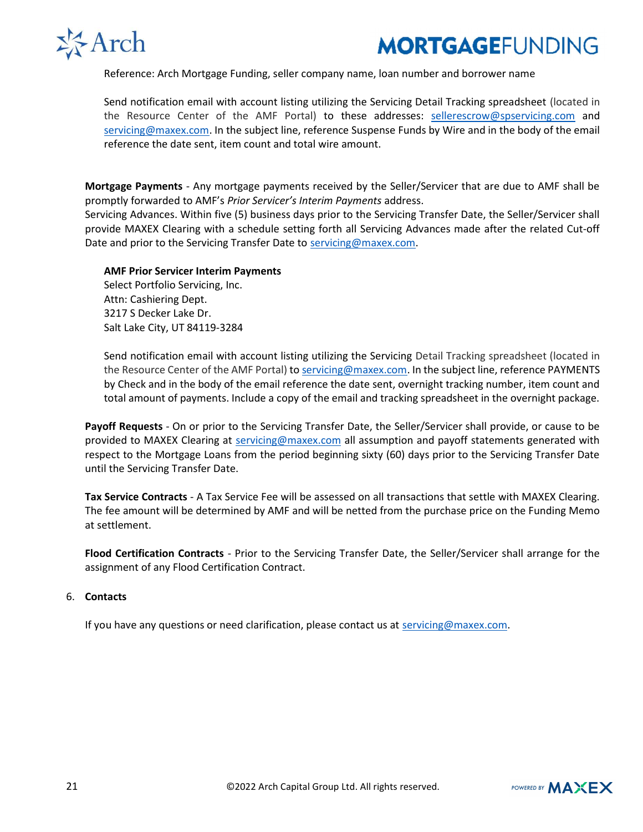

Reference: Arch Mortgage Funding, seller company name, loan number and borrower name

Send notification email with account listing utilizing the Servicing Detail Tracking spreadsheet (located in the Resource Center of the AMF Portal) to these addresses: sellerescrow@spservicing.com and servicing@maxex.com. In the subject line, reference Suspense Funds by Wire and in the body of the email reference the date sent, item count and total wire amount.

Mortgage Payments - Any mortgage payments received by the Seller/Servicer that are due to AMF shall be promptly forwarded to AMF's Prior Servicer's Interim Payments address.

Servicing Advances. Within five (5) business days prior to the Servicing Transfer Date, the Seller/Servicer shall provide MAXEX Clearing with a schedule setting forth all Servicing Advances made after the related Cut-off Date and prior to the Servicing Transfer Date to servicing@maxex.com.

#### AMF Prior Servicer Interim Payments

Select Portfolio Servicing, Inc. Attn: Cashiering Dept. 3217 S Decker Lake Dr. Salt Lake City, UT 84119-3284

Send notification email with account listing utilizing the Servicing Detail Tracking spreadsheet (located in the Resource Center of the AMF Portal) to servicing@maxex.com. In the subject line, reference PAYMENTS by Check and in the body of the email reference the date sent, overnight tracking number, item count and total amount of payments. Include a copy of the email and tracking spreadsheet in the overnight package.

Payoff Requests - On or prior to the Servicing Transfer Date, the Seller/Servicer shall provide, or cause to be provided to MAXEX Clearing at servicing@maxex.com all assumption and payoff statements generated with respect to the Mortgage Loans from the period beginning sixty (60) days prior to the Servicing Transfer Date until the Servicing Transfer Date.

Tax Service Contracts - A Tax Service Fee will be assessed on all transactions that settle with MAXEX Clearing. The fee amount will be determined by AMF and will be netted from the purchase price on the Funding Memo at settlement.

Flood Certification Contracts - Prior to the Servicing Transfer Date, the Seller/Servicer shall arrange for the assignment of any Flood Certification Contract.

#### 6. Contacts

If you have any questions or need clarification, please contact us at servicing@maxex.com.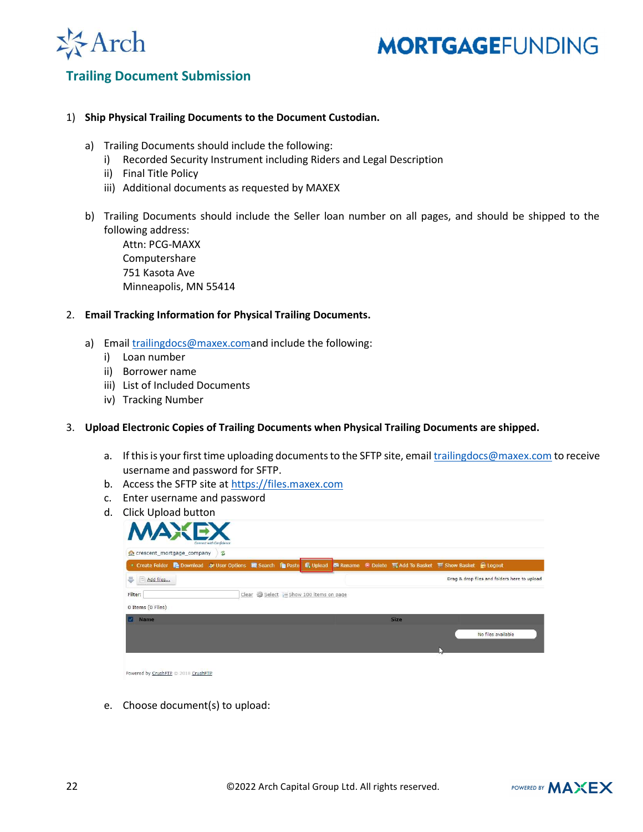

### Trailing Document Submission

#### 1) Ship Physical Trailing Documents to the Document Custodian.

- a) Trailing Documents should include the following:
	- i) Recorded Security Instrument including Riders and Legal Description
	- ii) Final Title Policy
	- iii) Additional documents as requested by MAXEX
- b) Trailing Documents should include the Seller loan number on all pages, and should be shipped to the following address:

Attn: PCG-MAXX Computershare 751 Kasota Ave Minneapolis, MN 55414

#### 2. Email Tracking Information for Physical Trailing Documents.

- a) Email trailingdocs@maxex.comand include the following:
	- i) Loan number
	- ii) Borrower name
	- iii) List of Included Documents
	- iv) Tracking Number

#### 3. Upload Electronic Copies of Trailing Documents when Physical Trailing Documents are shipped.

- a. If this is your first time uploading documents to the SFTP site, email trailingdocs@maxex.com to receive username and password for SFTP.
- b. Access the SFTP site at https://files.maxex.com
- c. Enter username and password
- d. Click Upload button

| crescent_mortgage_company<br>言                                                                                                  |  |  |  |                                        |  |  |             |  |                                              |
|---------------------------------------------------------------------------------------------------------------------------------|--|--|--|----------------------------------------|--|--|-------------|--|----------------------------------------------|
| ■ Create Folder Re Download & User Options 图 Search For Paste 图 Upload B Rename ● Delete ■ Add To Basket ■ Show Basket ● Logout |  |  |  |                                        |  |  |             |  |                                              |
| 5<br>Add files                                                                                                                  |  |  |  |                                        |  |  |             |  | Drag & drop files and folders here to upload |
| Filter:                                                                                                                         |  |  |  | Clear # Select Eshow 100 items on page |  |  |             |  |                                              |
| 0 Items (0 Files)                                                                                                               |  |  |  |                                        |  |  |             |  |                                              |
|                                                                                                                                 |  |  |  |                                        |  |  |             |  |                                              |
| Name                                                                                                                            |  |  |  |                                        |  |  | <b>Size</b> |  |                                              |

| Powered by CrushFTP @ 2018 CrushFTP |  |
|-------------------------------------|--|
|                                     |  |

e. Choose document(s) to upload: